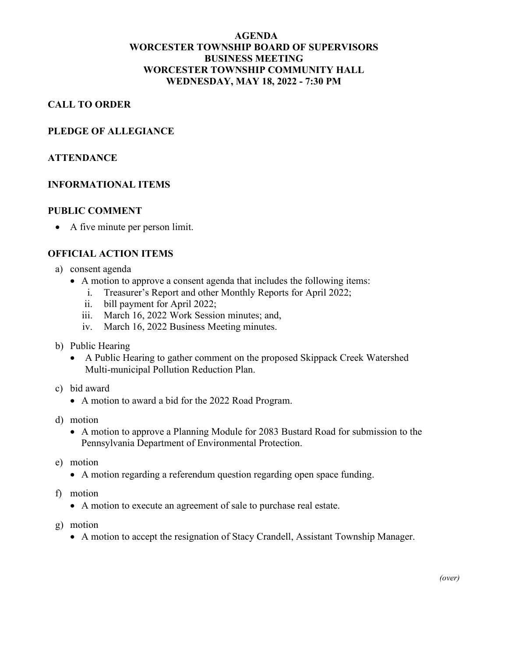# **AGENDA WORCESTER TOWNSHIP BOARD OF SUPERVISORS BUSINESS MEETING WORCESTER TOWNSHIP COMMUNITY HALL WEDNESDAY, MAY 18, 2022 - 7:30 PM**

# **CALL TO ORDER**

#### **PLEDGE OF ALLEGIANCE**

#### **ATTENDANCE**

#### **INFORMATIONAL ITEMS**

#### **PUBLIC COMMENT**

• A five minute per person limit.

#### **OFFICIAL ACTION ITEMS**

- a) consent agenda
	- A motion to approve a consent agenda that includes the following items:
		- i. Treasurer's Report and other Monthly Reports for April 2022;
		- ii. bill payment for April 2022;
		- iii. March 16, 2022 Work Session minutes; and,
		- iv. March 16, 2022 Business Meeting minutes.
- b) Public Hearing
	- A Public Hearing to gather comment on the proposed Skippack Creek Watershed Multi-municipal Pollution Reduction Plan.
- c) bid award
	- A motion to award a bid for the 2022 Road Program.
- d) motion
	- A motion to approve a Planning Module for 2083 Bustard Road for submission to the Pennsylvania Department of Environmental Protection.
- e) motion
	- A motion regarding a referendum question regarding open space funding.
- f) motion
	- A motion to execute an agreement of sale to purchase real estate.
- g) motion
	- A motion to accept the resignation of Stacy Crandell, Assistant Township Manager.